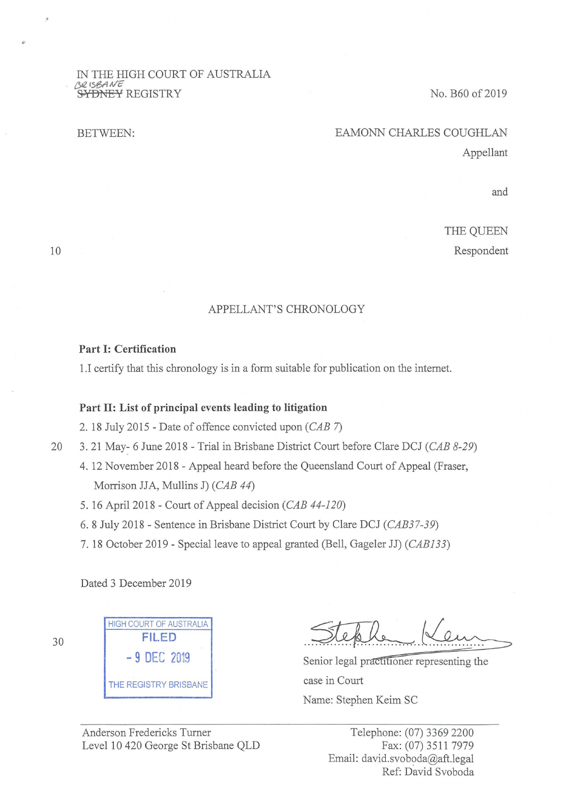#### IN THE HIGH COURT OF AUSTRALIA *{;,12,r5e,AA/'fi*  **&¥DNEY** REGISTRY

BETWEEN:

## No. B60 of 2019

# EAMONN CHARLES COUGHLAN Appellant

and

THE QUEEN Respondent

10

### APPELLANT'S CHRONOLOGY

#### **Part I: Certification**

1.I certify that this chronology is in a form suitable for publication on the internet.

## **Part II: List of principal events leading to litigation**

2. 18 July 2015 - Date of offence convicted upon  $(CAB 7)$ 

20 3. 21 May- 6 June 2018 - Trial in Brisbane District Court before Clare DCJ (CAB 8-29)

- 4. 12 November 2018 Appeal heard before the Queensland Court of Appeal (Fraser, Morrison JJA, Mullins **J)** (CAB 44)
- 5. 16 April 2018 Court of Appeal decision (CAB 44-120)

6. 8 July 2018 - Sentence in Brisbane District Court by Clare DCJ (CAB37-39)

7. 18 October 2019 - Special leave to appeal granted (Bell, Gageler JJ) (CABJ33)

Dated 3 December 2019

| <b>HIGH COURT OF AUSTRALIA</b> |             |  |
|--------------------------------|-------------|--|
| FILED                          |             |  |
|                                | -9 DEC 2019 |  |
| THE REGISTRY BRISBANE          |             |  |

Steple Keum .. Keum

case in Court Name: Stephen Keim SC

Anderson Fredericks Turner Level 10 420 George St Brisbane QLD

Telephone: (07) 3369 2200 Fax: (07) 3511 7979 Email: david.svoboda@aft.legal Ref: David Svoboda

30